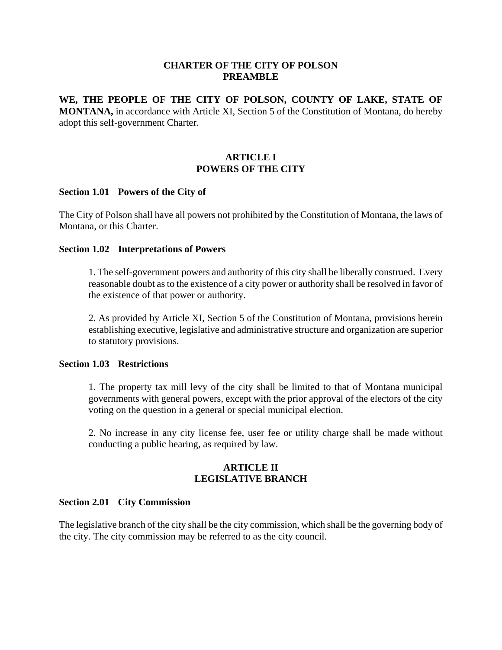# **CHARTER OF THE CITY OF POLSON PREAMBLE**

WE, THE PEOPLE OF THE CITY OF POLSON, COUNTY OF LAKE, STATE OF **MONTANA,** in accordance with Article XI, Section 5 of the Constitution of Montana, do hereby adopt this self-government Charter.

## **ARTICLE I POWERS OF THE CITY**

#### **Section 1.01 Powers of the City of**

The City of Polson shall have all powers not prohibited by the Constitution of Montana, the laws of Montana, or this Charter.

#### **Section 1.02 Interpretations of Powers**

1. The self-government powers and authority of this city shall be liberally construed. Every reasonable doubt as to the existence of a city power or authority shall be resolved in favor of the existence of that power or authority.

2. As provided by Article XI, Section 5 of the Constitution of Montana, provisions herein establishing executive, legislative and administrative structure and organization are superior to statutory provisions.

#### **Section 1.03 Restrictions**

1. The property tax mill levy of the city shall be limited to that of Montana municipal governments with general powers, except with the prior approval of the electors of the city voting on the question in a general or special municipal election.

2. No increase in any city license fee, user fee or utility charge shall be made without conducting a public hearing, as required by law.

## **ARTICLE II LEGISLATIVE BRANCH**

#### **Section 2.01 City Commission**

The legislative branch of the city shall be the city commission, which shall be the governing body of the city. The city commission may be referred to as the city council.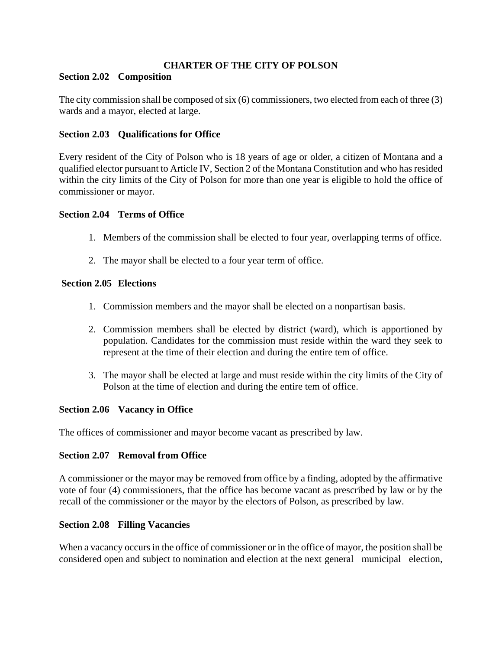# **Section 2.02 Composition**

The city commission shall be composed of six (6) commissioners, two elected from each of three (3) wards and a mayor, elected at large.

# **Section 2.03 Qualifications for Office**

Every resident of the City of Polson who is 18 years of age or older, a citizen of Montana and a qualified elector pursuant to Article IV, Section 2 of the Montana Constitution and who has resided within the city limits of the City of Polson for more than one year is eligible to hold the office of commissioner or mayor.

# **Section 2.04 Terms of Office**

- 1. Members of the commission shall be elected to four year, overlapping terms of office.
- 2. The mayor shall be elected to a four year term of office.

# **Section 2.05 Elections**

- 1. Commission members and the mayor shall be elected on a nonpartisan basis.
- 2. Commission members shall be elected by district (ward), which is apportioned by population. Candidates for the commission must reside within the ward they seek to represent at the time of their election and during the entire tem of office.
- 3. The mayor shall be elected at large and must reside within the city limits of the City of Polson at the time of election and during the entire tem of office.

# **Section 2.06 Vacancy in Office**

The offices of commissioner and mayor become vacant as prescribed by law.

# **Section 2.07 Removal from Office**

A commissioner or the mayor may be removed from office by a finding, adopted by the affirmative vote of four (4) commissioners, that the office has become vacant as prescribed by law or by the recall of the commissioner or the mayor by the electors of Polson, as prescribed by law.

# **Section 2.08 Filling Vacancies**

When a vacancy occurs in the office of commissioner or in the office of mayor, the position shall be considered open and subject to nomination and election at the next general municipal election,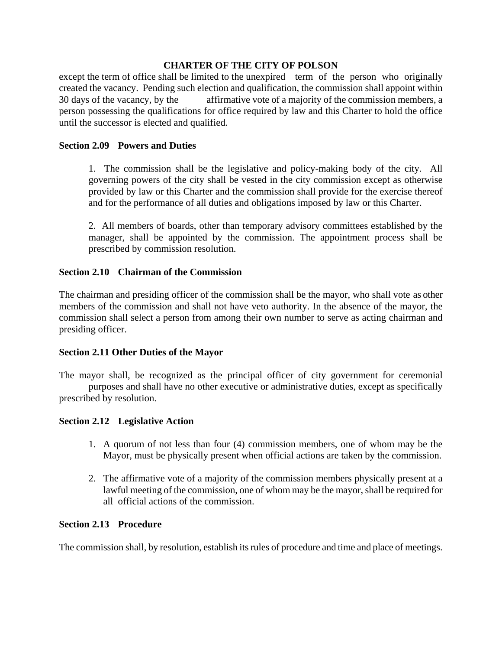except the term of office shall be limited to the unexpired term of the person who originally created the vacancy. Pending such election and qualification, the commission shall appoint within 30 days of the vacancy, by the affirmative vote of a majority of the commission members, a person possessing the qualifications for office required by law and this Charter to hold the office until the successor is elected and qualified.

## **Section 2.09 Powers and Duties**

1. The commission shall be the legislative and policy-making body of the city. All governing powers of the city shall be vested in the city commission except as otherwise provided by law or this Charter and the commission shall provide for the exercise thereof and for the performance of all duties and obligations imposed by law or this Charter.

2. All members of boards, other than temporary advisory committees established by the manager, shall be appointed by the commission. The appointment process shall be prescribed by commission resolution.

## **Section 2.10 Chairman of the Commission**

The chairman and presiding officer of the commission shall be the mayor, who shall vote as other members of the commission and shall not have veto authority. In the absence of the mayor, the commission shall select a person from among their own number to serve as acting chairman and presiding officer.

## **Section 2.11 Other Duties of the Mayor**

The mayor shall, be recognized as the principal officer of city government for ceremonial purposes and shall have no other executive or administrative duties, except as specifically prescribed by resolution.

## **Section 2.12 Legislative Action**

- 1. A quorum of not less than four (4) commission members, one of whom may be the Mayor, must be physically present when official actions are taken by the commission.
- 2. The affirmative vote of a majority of the commission members physically present at a lawful meeting of the commission, one of whom may be the mayor, shall be required for all official actions of the commission.

## **Section 2.13 Procedure**

The commission shall, by resolution, establish its rules of procedure and time and place of meetings.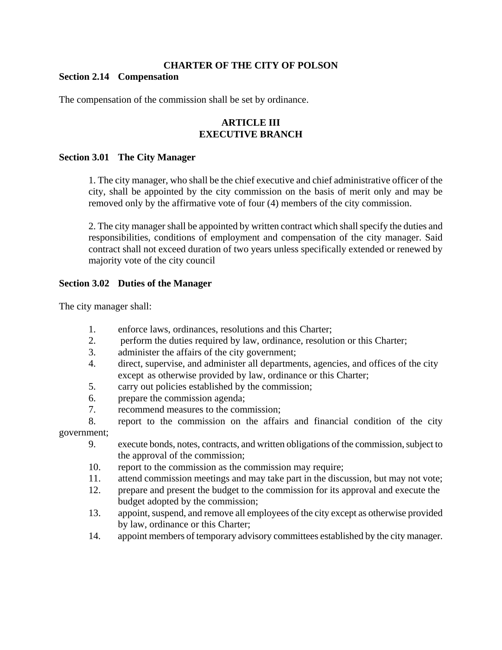## **Section 2.14 Compensation**

The compensation of the commission shall be set by ordinance.

#### **ARTICLE III EXECUTIVE BRANCH**

#### **Section 3.01 The City Manager**

1. The city manager, who shall be the chief executive and chief administrative officer of the city, shall be appointed by the city commission on the basis of merit only and may be removed only by the affirmative vote of four (4) members of the city commission.

2. The city manager shall be appointed by written contract which shall specify the duties and responsibilities, conditions of employment and compensation of the city manager. Said contract shall not exceed duration of two years unless specifically extended or renewed by majority vote of the city council

## **Section 3.02 Duties of the Manager**

The city manager shall:

- 1. enforce laws, ordinances, resolutions and this Charter;
- 2. perform the duties required by law, ordinance, resolution or this Charter;
- 3. administer the affairs of the city government;
- 4. direct, supervise, and administer all departments, agencies, and offices of the city except as otherwise provided by law, ordinance or this Charter;
- 5. carry out policies established by the commission;
- 6. prepare the commission agenda;
- 7. recommend measures to the commission;
- 8. report to the commission on the affairs and financial condition of the city government;
	- 9. execute bonds, notes, contracts, and written obligations of the commission, subject to the approval of the commission;
	- 10. report to the commission as the commission may require;
	- 11. attend commission meetings and may take part in the discussion, but may not vote;
	- 12. prepare and present the budget to the commission for its approval and execute the budget adopted by the commission;
	- 13. appoint, suspend, and remove all employees of the city except as otherwise provided by law, ordinance or this Charter;
	- 14. appoint members of temporary advisory committees established by the city manager.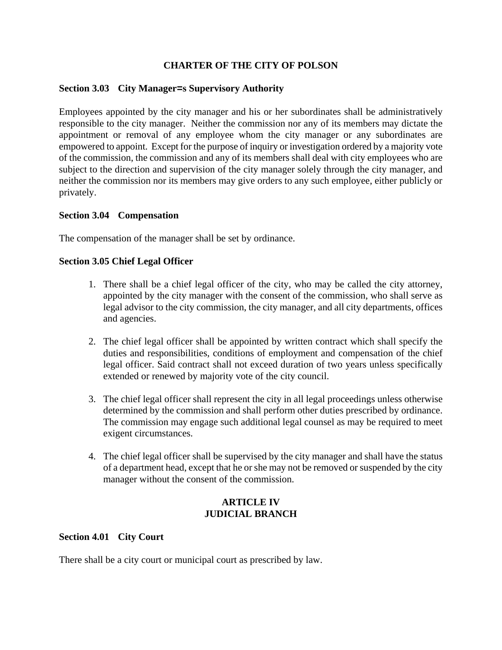## **Section 3.03 City Manager=s Supervisory Authority**

Employees appointed by the city manager and his or her subordinates shall be administratively responsible to the city manager. Neither the commission nor any of its members may dictate the appointment or removal of any employee whom the city manager or any subordinates are empowered to appoint. Except for the purpose of inquiry or investigation ordered by a majority vote of the commission, the commission and any of its members shall deal with city employees who are subject to the direction and supervision of the city manager solely through the city manager, and neither the commission nor its members may give orders to any such employee, either publicly or privately.

## **Section 3.04 Compensation**

The compensation of the manager shall be set by ordinance.

## **Section 3.05 Chief Legal Officer**

- 1. There shall be a chief legal officer of the city, who may be called the city attorney, appointed by the city manager with the consent of the commission, who shall serve as legal advisor to the city commission, the city manager, and all city departments, offices and agencies.
- 2. The chief legal officer shall be appointed by written contract which shall specify the duties and responsibilities, conditions of employment and compensation of the chief legal officer. Said contract shall not exceed duration of two years unless specifically extended or renewed by majority vote of the city council.
- 3. The chief legal officer shall represent the city in all legal proceedings unless otherwise determined by the commission and shall perform other duties prescribed by ordinance. The commission may engage such additional legal counsel as may be required to meet exigent circumstances.
- 4. The chief legal officer shall be supervised by the city manager and shall have the status of a department head, except that he or she may not be removed or suspended by the city manager without the consent of the commission.

# **ARTICLE IV JUDICIAL BRANCH**

## **Section 4.01 City Court**

There shall be a city court or municipal court as prescribed by law.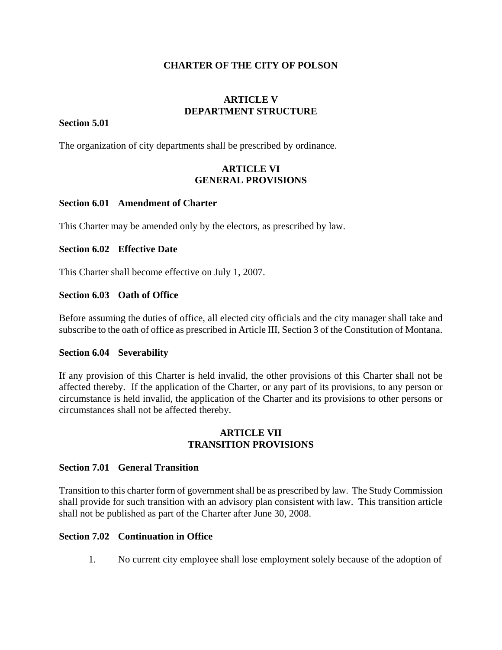# **ARTICLE V DEPARTMENT STRUCTURE**

#### **Section 5.01**

The organization of city departments shall be prescribed by ordinance.

## **ARTICLE VI GENERAL PROVISIONS**

#### **Section 6.01 Amendment of Charter**

This Charter may be amended only by the electors, as prescribed by law.

#### **Section 6.02 Effective Date**

This Charter shall become effective on July 1, 2007.

#### **Section 6.03 Oath of Office**

Before assuming the duties of office, all elected city officials and the city manager shall take and subscribe to the oath of office as prescribed in Article III, Section 3 of the Constitution of Montana.

#### **Section 6.04 Severability**

If any provision of this Charter is held invalid, the other provisions of this Charter shall not be affected thereby. If the application of the Charter, or any part of its provisions, to any person or circumstance is held invalid, the application of the Charter and its provisions to other persons or circumstances shall not be affected thereby.

#### **ARTICLE VII TRANSITION PROVISIONS**

#### **Section 7.01 General Transition**

Transition to this charter form of government shall be as prescribed by law. The Study Commission shall provide for such transition with an advisory plan consistent with law. This transition article shall not be published as part of the Charter after June 30, 2008.

#### **Section 7.02 Continuation in Office**

1. No current city employee shall lose employment solely because of the adoption of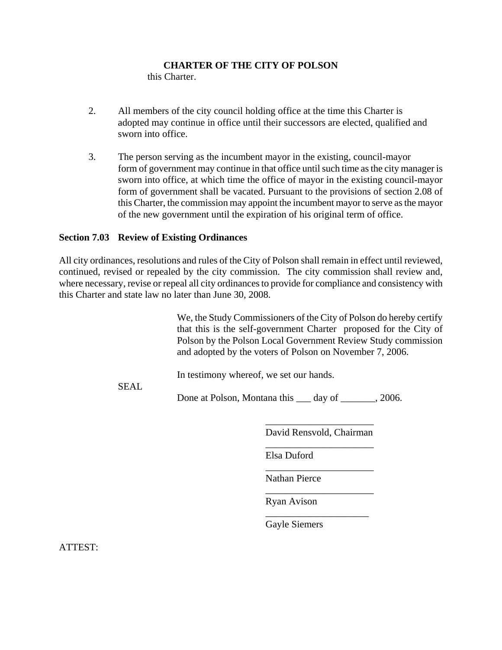this Charter.

- 2. All members of the city council holding office at the time this Charter is adopted may continue in office until their successors are elected, qualified and sworn into office.
- 3. The person serving as the incumbent mayor in the existing, council-mayor form of government may continue in that office until such time as the city manager is sworn into office, at which time the office of mayor in the existing council-mayor form of government shall be vacated. Pursuant to the provisions of section 2.08 of this Charter, the commission may appoint the incumbent mayor to serve as the mayor of the new government until the expiration of his original term of office.

## **Section 7.03 Review of Existing Ordinances**

All city ordinances, resolutions and rules of the City of Polson shall remain in effect until reviewed, continued, revised or repealed by the city commission. The city commission shall review and, where necessary, revise or repeal all city ordinances to provide for compliance and consistency with this Charter and state law no later than June 30, 2008.

> We, the Study Commissioners of the City of Polson do hereby certify that this is the self-government Charter proposed for the City of Polson by the Polson Local Government Review Study commission and adopted by the voters of Polson on November 7, 2006.

In testimony whereof, we set our hands.

 $\mathcal{L}_\text{max}$  , which is a set of the set of the set of the set of the set of the set of the set of the set of the set of the set of the set of the set of the set of the set of the set of the set of the set of the set of

 $\mathcal{L}_\text{max}$  , and the contract of the contract of the contract of the contract of the contract of the contract of the contract of the contract of the contract of the contract of the contract of the contract of the contr

SEAL.

Done at Polson, Montana this \_\_\_ day of \_\_\_\_\_\_, 2006.

 $\overline{\phantom{a}}$  , and the set of the set of the set of the set of the set of the set of the set of the set of the set of the set of the set of the set of the set of the set of the set of the set of the set of the set of the s

David Rensvold, Chairman

\_\_\_\_\_\_\_\_\_\_\_\_\_\_\_\_\_\_\_\_\_\_

\_\_\_\_\_\_\_\_\_\_\_\_\_\_\_\_\_\_\_\_\_

Elsa Duford

Nathan Pierce

Ryan Avison

Gayle Siemers

ATTEST: